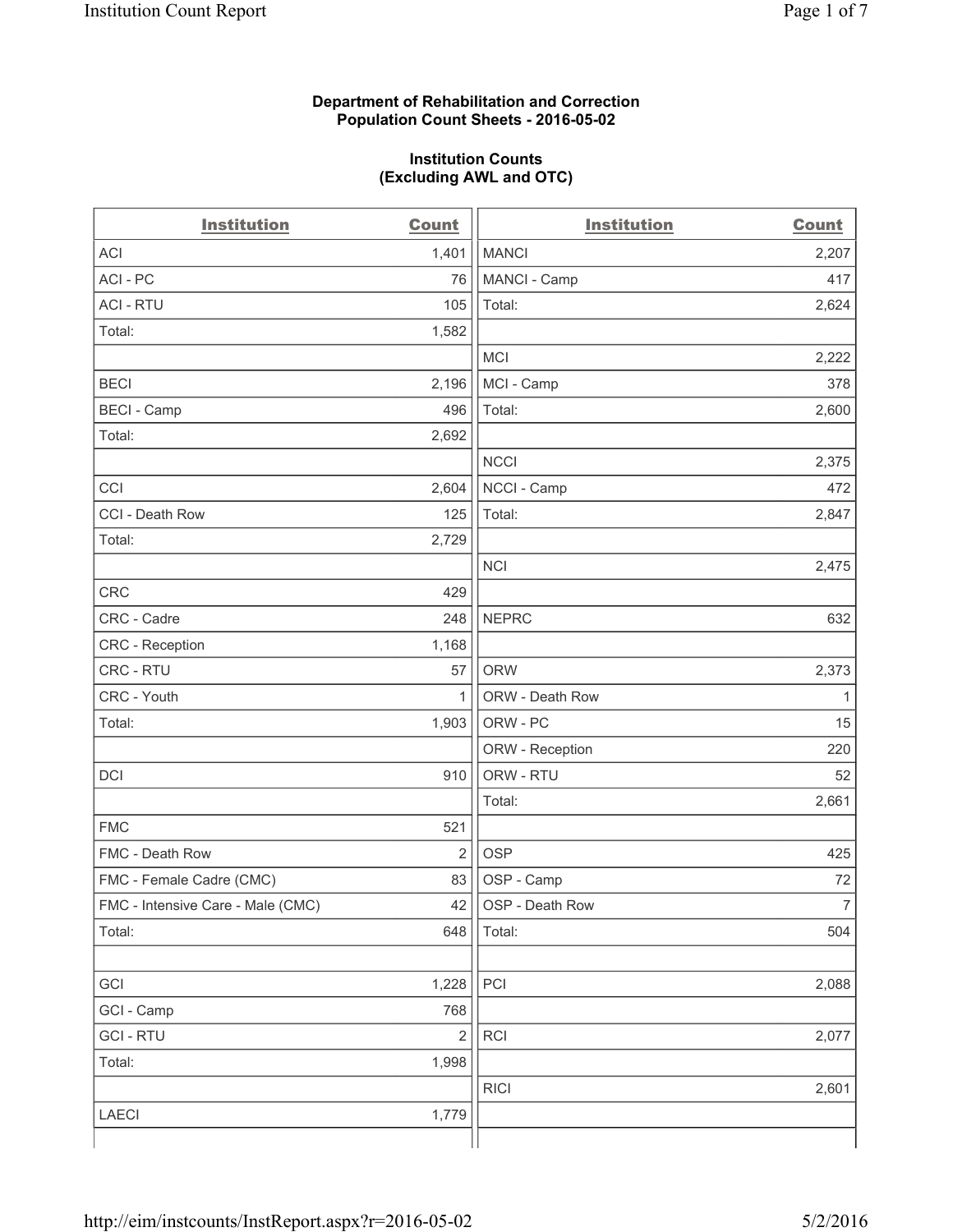#### **Department of Rehabilitation and Correction Population Count Sheets - 2016-05-02**

#### **Institution Counts (Excluding AWL and OTC)**

| <b>Institution</b>                | <b>Count</b>   | <b>Institution</b> | <b>Count</b>   |
|-----------------------------------|----------------|--------------------|----------------|
| <b>ACI</b>                        | 1,401          | <b>MANCI</b>       | 2,207          |
| ACI-PC                            | 76             | MANCI - Camp       | 417            |
| <b>ACI - RTU</b>                  | 105            | Total:             | 2,624          |
| Total:                            | 1,582          |                    |                |
|                                   |                | <b>MCI</b>         | 2,222          |
| <b>BECI</b>                       | 2,196          | MCI - Camp         | 378            |
| <b>BECI - Camp</b>                | 496            | Total:             | 2,600          |
| Total:                            | 2,692          |                    |                |
|                                   |                | <b>NCCI</b>        | 2,375          |
| CCI                               | 2,604          | NCCI - Camp        | 472            |
| CCI - Death Row                   | 125            | Total:             | 2,847          |
| Total:                            | 2,729          |                    |                |
|                                   |                | <b>NCI</b>         | 2,475          |
| <b>CRC</b>                        | 429            |                    |                |
| CRC - Cadre                       | 248            | <b>NEPRC</b>       | 632            |
| CRC - Reception                   | 1,168          |                    |                |
| CRC - RTU                         | 57             | <b>ORW</b>         | 2,373          |
| CRC - Youth                       | 1              | ORW - Death Row    | 1              |
| Total:                            | 1,903          | ORW - PC           | 15             |
|                                   |                | ORW - Reception    | 220            |
| DCI                               | 910            | ORW - RTU          | 52             |
|                                   |                | Total:             | 2,661          |
| <b>FMC</b>                        | 521            |                    |                |
| FMC - Death Row                   | $\overline{2}$ | <b>OSP</b>         | 425            |
| FMC - Female Cadre (CMC)          | 83             | OSP - Camp         | 72             |
| FMC - Intensive Care - Male (CMC) | 42             | OSP - Death Row    | $\overline{7}$ |
| Total:                            | 648            | Total:             | 504            |
|                                   |                |                    |                |
| GCI                               | 1,228          | PCI                | 2,088          |
| GCI - Camp                        | 768            |                    |                |
| <b>GCI-RTU</b>                    | $\overline{2}$ | RCI                | 2,077          |
| Total:                            | 1,998          |                    |                |
|                                   |                | <b>RICI</b>        | 2,601          |
| <b>LAECI</b>                      | 1,779          |                    |                |
|                                   |                |                    |                |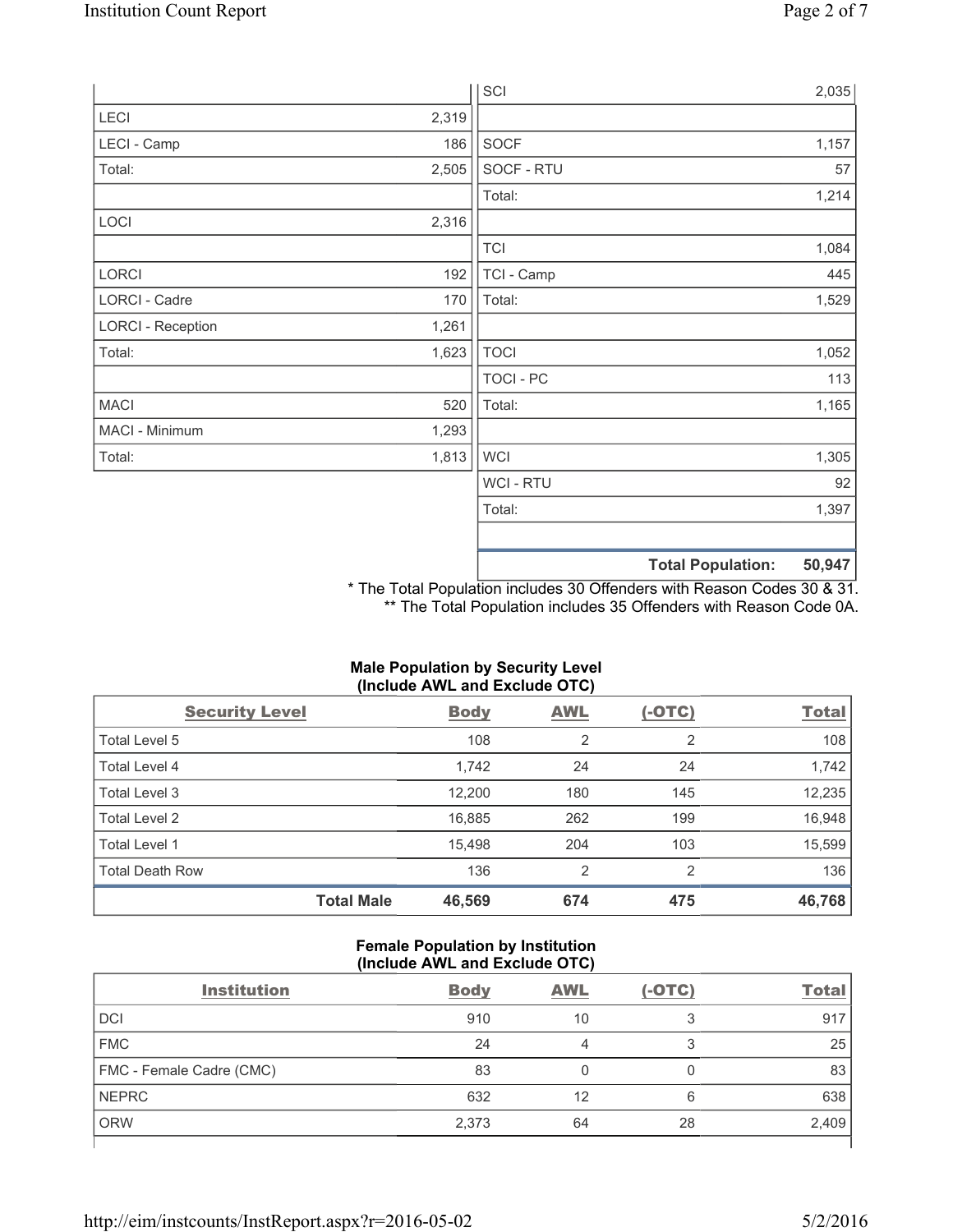|                          |       | SCI            |                          | 2,035  |
|--------------------------|-------|----------------|--------------------------|--------|
| LECI                     | 2,319 |                |                          |        |
| LECI - Camp              | 186   | SOCF           |                          | 1,157  |
| Total:                   | 2,505 | SOCF - RTU     |                          | 57     |
|                          |       | Total:         |                          | 1,214  |
| LOCI                     | 2,316 |                |                          |        |
|                          |       | <b>TCI</b>     |                          | 1,084  |
| LORCI                    | 192   | TCI - Camp     |                          | 445    |
| LORCI - Cadre            | 170   | Total:         |                          | 1,529  |
| <b>LORCI - Reception</b> | 1,261 |                |                          |        |
| Total:                   | 1,623 | <b>TOCI</b>    |                          | 1,052  |
|                          |       | TOCI - PC      |                          | 113    |
| <b>MACI</b>              | 520   | Total:         |                          | 1,165  |
| MACI - Minimum           | 1,293 |                |                          |        |
| Total:                   | 1,813 | <b>WCI</b>     |                          | 1,305  |
|                          |       | <b>WCI-RTU</b> |                          | 92     |
|                          |       | Total:         |                          | 1,397  |
|                          |       |                |                          |        |
|                          |       |                | <b>Total Population:</b> | 50,947 |

\* The Total Population includes 30 Offenders with Reason Codes 30 & 31. \*\* The Total Population includes 35 Offenders with Reason Code 0A.

# **Male Population by Security Level (Include AWL and Exclude OTC)**

| <b>Security Level</b>  |                   | <b>Body</b> | <b>AWL</b>     | $(-OTC)$ | <b>Total</b> |
|------------------------|-------------------|-------------|----------------|----------|--------------|
| Total Level 5          |                   | 108         | $\overline{2}$ | 2        | 108          |
| Total Level 4          |                   | 1,742       | 24             | 24       | 1,742        |
| Total Level 3          |                   | 12,200      | 180            | 145      | 12,235       |
| Total Level 2          |                   | 16,885      | 262            | 199      | 16,948       |
| Total Level 1          |                   | 15,498      | 204            | 103      | 15,599       |
| <b>Total Death Row</b> |                   | 136         | $\overline{2}$ | 2        | 136          |
|                        | <b>Total Male</b> | 46,569      | 674            | 475      | 46,768       |

### **Female Population by Institution (Include AWL and Exclude OTC)**

| <b>Institution</b>       | <b>Body</b> | <b>AWL</b> | $(-OTC)$ | <b>Total</b> |
|--------------------------|-------------|------------|----------|--------------|
| <b>DCI</b>               | 910         | 10         | っ        | 917          |
| <b>FMC</b>               | 24          |            | 3        | 25           |
| FMC - Female Cadre (CMC) | 83          |            |          | 83           |
| <b>NEPRC</b>             | 632         | 12         | 6        | 638          |
| <b>ORW</b>               | 2,373       | 64         | 28       | 2,409        |
|                          |             |            |          |              |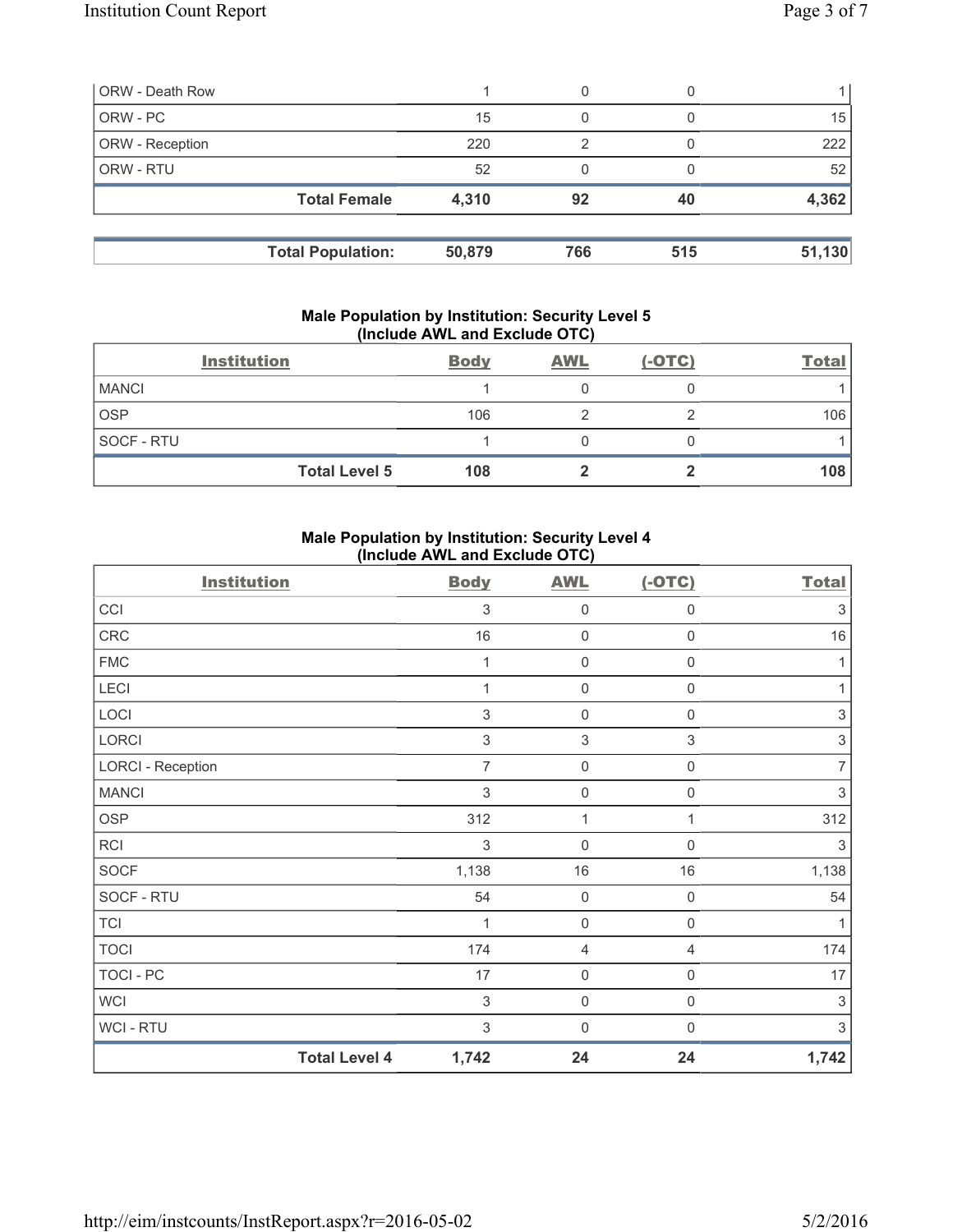| <b>ORW - Death Row</b> |                          |        | 0   |     |        |
|------------------------|--------------------------|--------|-----|-----|--------|
| ORW - PC               |                          | 15     | 0   |     | 15     |
| ORW - Reception        |                          | 220    | 2   |     | 222    |
| ORW - RTU              |                          | 52     |     |     | 52     |
|                        | <b>Total Female</b>      | 4,310  | 92  | 40  | 4,362  |
|                        | <b>Total Population:</b> | 50,879 | 766 | 515 | 51,130 |

#### **Male Population by Institution: Security Level 5 (Include AWL and Exclude OTC)**

|              | <b>Institution</b>   | <b>Body</b> | <b>AWL</b> | $(-OTC)$ | <b>Total</b> |
|--------------|----------------------|-------------|------------|----------|--------------|
| <b>MANCI</b> |                      |             |            |          |              |
| <b>OSP</b>   |                      | 106         |            |          | 106          |
| SOCF - RTU   |                      |             |            |          |              |
|              | <b>Total Level 5</b> | 108         |            |          | 108          |

## **Male Population by Institution: Security Level 4 (Include AWL and Exclude OTC)**

| <b>Institution</b>       |                      | <b>Body</b>               | <b>AWL</b>                | $(-OTC)$         | <b>Total</b>              |
|--------------------------|----------------------|---------------------------|---------------------------|------------------|---------------------------|
| CCI                      |                      | $\ensuremath{\mathsf{3}}$ | 0                         | $\boldsymbol{0}$ | 3                         |
| CRC                      |                      | 16                        | 0                         | $\mathbf 0$      | $16\,$                    |
| <b>FMC</b>               |                      | 1                         | $\mathsf{O}\xspace$       | $\boldsymbol{0}$ | 1                         |
| LECI                     |                      | 1                         | $\mathsf{O}\xspace$       | $\mathbf 0$      | 1                         |
| LOCI                     |                      | $\mathsf 3$               | $\mathsf{O}\xspace$       | $\boldsymbol{0}$ | $\ensuremath{\mathsf{3}}$ |
| LORCI                    |                      | 3                         | $\ensuremath{\mathsf{3}}$ | 3                | $\ensuremath{\mathsf{3}}$ |
| <b>LORCI - Reception</b> |                      | $\overline{7}$            | $\mathsf{O}\xspace$       | $\boldsymbol{0}$ | $\overline{7}$            |
| <b>MANCI</b>             |                      | 3                         | $\mathsf{O}\xspace$       | $\boldsymbol{0}$ | 3                         |
| <b>OSP</b>               |                      | 312                       | 1                         | 1                | 312                       |
| <b>RCI</b>               |                      | 3                         | $\mathbf 0$               | $\Omega$         | 3                         |
| <b>SOCF</b>              |                      | 1,138                     | 16                        | 16               | 1,138                     |
| SOCF - RTU               |                      | 54                        | $\mathsf{O}\xspace$       | $\mathbf 0$      | 54                        |
| <b>TCI</b>               |                      | 1                         | 0                         | $\mathbf 0$      | 1                         |
| <b>TOCI</b>              |                      | 174                       | 4                         | 4                | 174                       |
| <b>TOCI - PC</b>         |                      | 17                        | 0                         | $\mathbf 0$      | 17                        |
| <b>WCI</b>               |                      | $\sqrt{3}$                | 0                         | $\boldsymbol{0}$ | 3                         |
| <b>WCI-RTU</b>           |                      | $\mathfrak{Z}$            | $\mathbf 0$               | $\mathbf 0$      | 3                         |
|                          | <b>Total Level 4</b> | 1,742                     | 24                        | 24               | 1,742                     |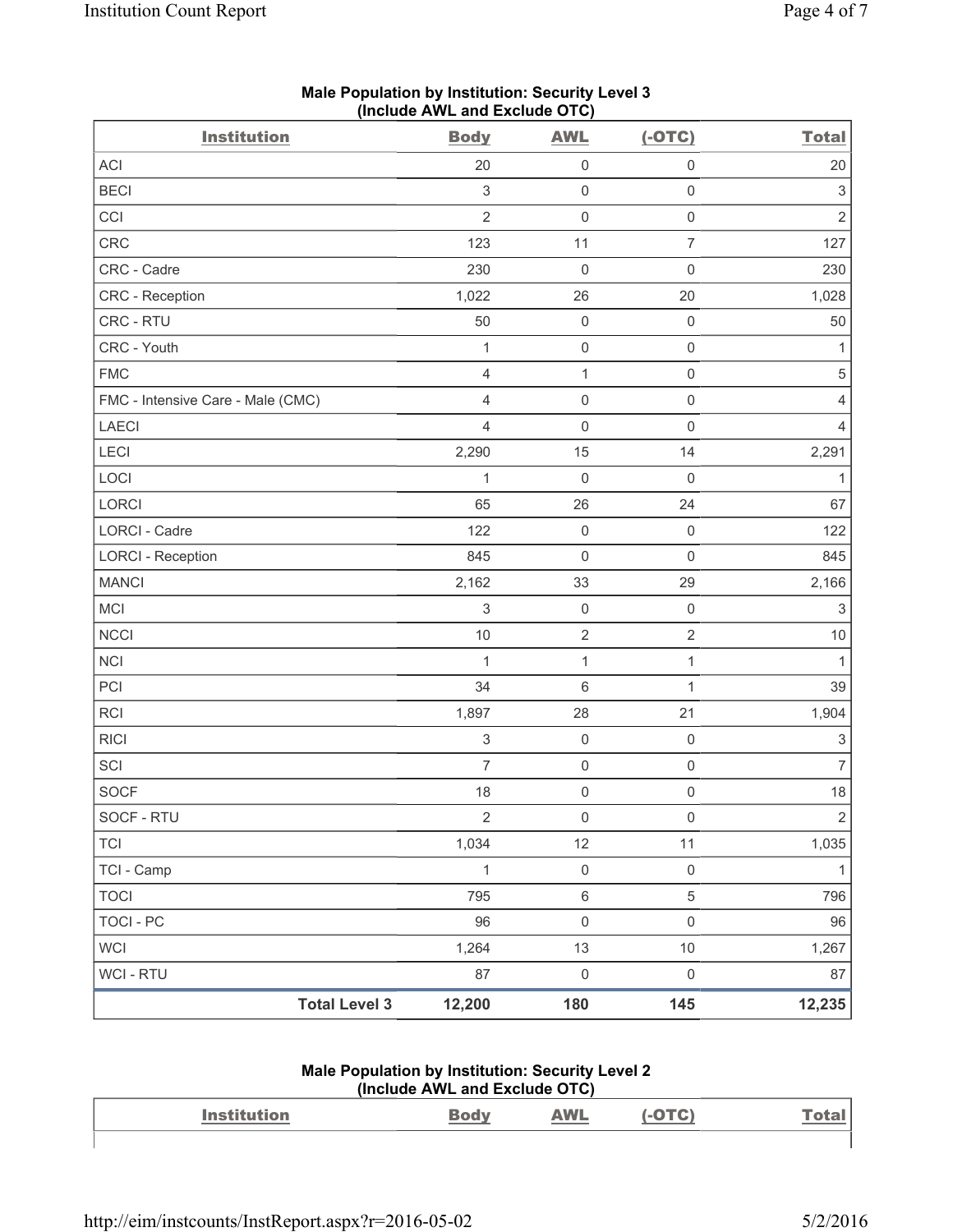| <b>Institution</b>                | $($ moludo Arra and Exclude OTO $)$<br><b>Body</b> | <b>AWL</b>              | $(-OTC)$            | <b>Total</b>              |
|-----------------------------------|----------------------------------------------------|-------------------------|---------------------|---------------------------|
| ACI                               | 20                                                 | $\mathsf{O}\xspace$     | $\mathsf 0$         | 20                        |
| <b>BECI</b>                       | $\ensuremath{\mathsf{3}}$                          | $\mathbf 0$             | $\mathsf 0$         | $\ensuremath{\mathsf{3}}$ |
| CCI                               | $\overline{2}$                                     | $\mathbf 0$             | $\mathbf 0$         | $\overline{2}$            |
| CRC                               | 123                                                | 11                      | $\overline{7}$      | 127                       |
| CRC - Cadre                       | 230                                                | $\mathbf 0$             | $\mathsf{O}\xspace$ | 230                       |
| CRC - Reception                   | 1,022                                              | 26                      | 20                  | 1,028                     |
| CRC - RTU                         | 50                                                 | $\mathsf{O}\xspace$     | $\mathsf 0$         | 50                        |
| CRC - Youth                       | 1                                                  | $\mathbf 0$             | $\mathsf{O}\xspace$ | $\mathbf{1}$              |
| <b>FMC</b>                        | $\overline{4}$                                     | $\mathbf 1$             | $\mathsf 0$         | $\,$ 5 $\,$               |
| FMC - Intensive Care - Male (CMC) | $\overline{4}$                                     | $\mathbf 0$             | $\mathbf 0$         | 4                         |
| <b>LAECI</b>                      | $\overline{4}$                                     | $\mathsf{O}\xspace$     | $\mathsf{O}\xspace$ | $\overline{4}$            |
| <b>LECI</b>                       | 2,290                                              | 15                      | 14                  | 2,291                     |
| LOCI                              | 1                                                  | $\mathbf 0$             | $\mathbf 0$         | $\mathbf{1}$              |
| LORCI                             | 65                                                 | 26                      | 24                  | 67                        |
| LORCI - Cadre                     | 122                                                | $\mathbf 0$             | $\mathbf 0$         | 122                       |
| <b>LORCI - Reception</b>          | 845                                                | $\mathsf{O}\xspace$     | $\mathsf{O}\xspace$ | 845                       |
| <b>MANCI</b>                      | 2,162                                              | 33                      | 29                  | 2,166                     |
| MCI                               | $\,$ 3 $\,$                                        | $\mathbf 0$             | $\mathsf 0$         | $\ensuremath{\mathsf{3}}$ |
| <b>NCCI</b>                       | $10$                                               | $\overline{\mathbf{c}}$ | $\sqrt{2}$          | $10$                      |
| <b>NCI</b>                        | $\mathbf 1$                                        | $\mathbf 1$             | $\mathbf{1}$        | $\mathbf{1}$              |
| PCI                               | 34                                                 | 6                       | $\mathbf{1}$        | 39                        |
| RCI                               | 1,897                                              | 28                      | 21                  | 1,904                     |
| <b>RICI</b>                       | $\ensuremath{\mathsf{3}}$                          | $\mathsf{O}\xspace$     | $\mathsf 0$         | $\ensuremath{\mathsf{3}}$ |
| SCI                               | $\overline{7}$                                     | $\mathsf{O}\xspace$     | $\mathsf 0$         | $\overline{7}$            |
| <b>SOCF</b>                       | 18                                                 | $\mathsf 0$             | $\boldsymbol{0}$    | 18                        |
| SOCF - RTU                        | $\overline{2}$                                     | $\mathbf 0$             | $\mathsf{O}\xspace$ | $\overline{2}$            |
| <b>TCI</b>                        | 1,034                                              | 12                      | 11                  | 1,035                     |
| TCI - Camp                        | $\mathbf{1}$                                       | $\mathsf{0}$            | $\mathsf 0$         | $\mathbf{1}$              |
| <b>TOCI</b>                       | 795                                                | $\,6\,$                 | $\sqrt{5}$          | 796                       |
| <b>TOCI - PC</b>                  | 96                                                 | $\mathsf{O}\xspace$     | $\mathsf{O}\xspace$ | 96                        |
| <b>WCI</b>                        | 1,264                                              | 13                      | $10$                | 1,267                     |
| WCI - RTU                         | 87                                                 | $\mathsf{O}\xspace$     | $\mathsf 0$         | 87                        |
| <b>Total Level 3</b>              | 12,200                                             | 180                     | 145                 | 12,235                    |

### **Male Population by Institution: Security Level 3 (Include AWL and Exclude OTC)**

#### **Male Population by Institution: Security Level 2 (Include AWL and Exclude OTC)**

| <b>Institution</b> | ` sdv | <b>AWL</b><br>$\frac{1}{2} \left( \frac{1}{2} \right) \left( \frac{1}{2} \right) \left( \frac{1}{2} \right) \left( \frac{1}{2} \right) \left( \frac{1}{2} \right) \left( \frac{1}{2} \right) \left( \frac{1}{2} \right) \left( \frac{1}{2} \right) \left( \frac{1}{2} \right) \left( \frac{1}{2} \right) \left( \frac{1}{2} \right) \left( \frac{1}{2} \right) \left( \frac{1}{2} \right) \left( \frac{1}{2} \right) \left( \frac{1}{2} \right) \left( \frac{1}{2} \right) \left( \frac$ | Tatau.<br><u>otal</u> |
|--------------------|-------|------------------------------------------------------------------------------------------------------------------------------------------------------------------------------------------------------------------------------------------------------------------------------------------------------------------------------------------------------------------------------------------------------------------------------------------------------------------------------------------|-----------------------|
|                    |       |                                                                                                                                                                                                                                                                                                                                                                                                                                                                                          |                       |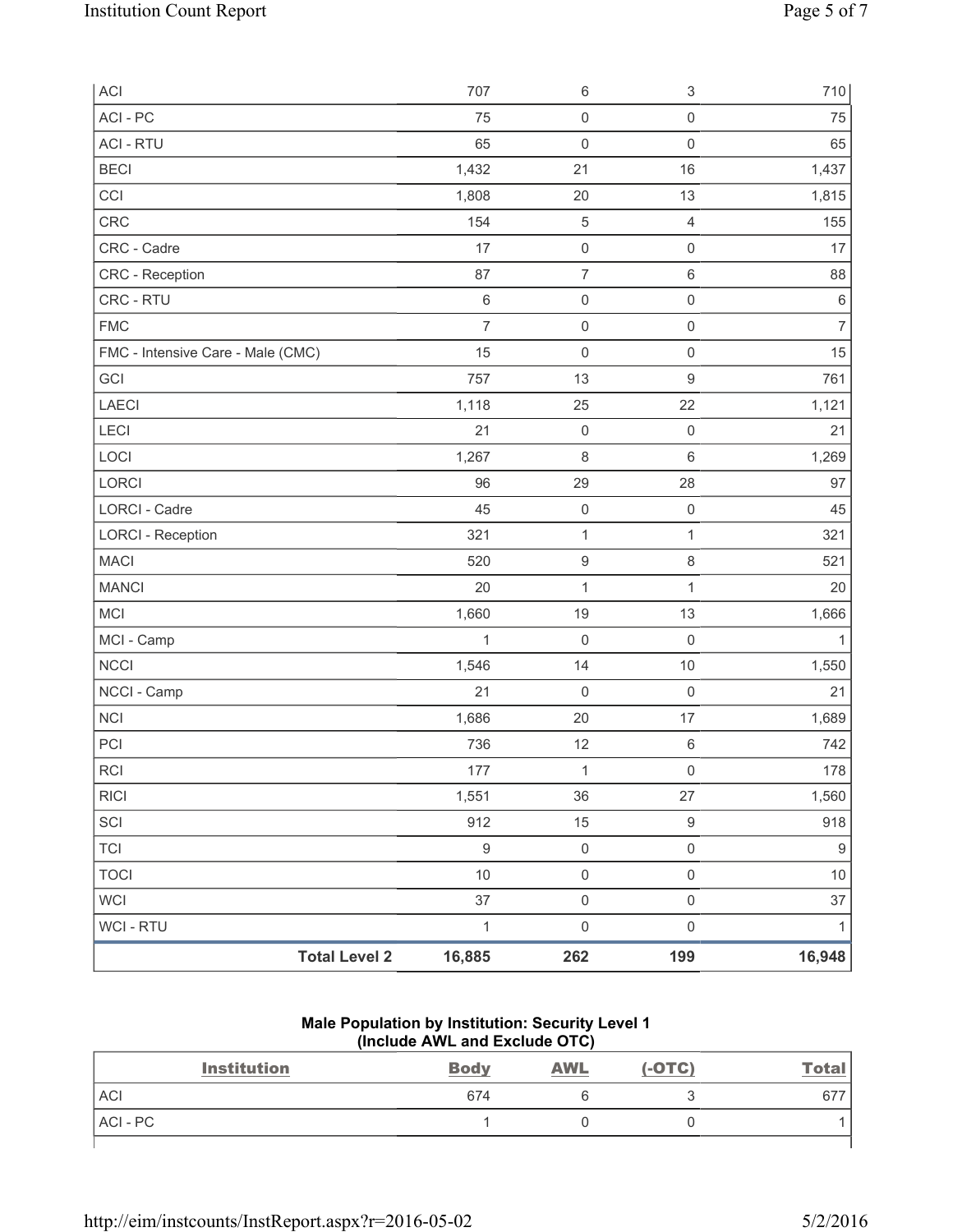| ACI                               | 707            | $\,6\,$             | $\ensuremath{\mathsf{3}}$ | 710              |
|-----------------------------------|----------------|---------------------|---------------------------|------------------|
| ACI-PC                            | 75             | $\mathsf{O}\xspace$ | $\mathsf{O}\xspace$       | 75               |
| <b>ACI - RTU</b>                  | 65             | $\mathbf 0$         | $\mathsf{O}\xspace$       | 65               |
| <b>BECI</b>                       | 1,432          | 21                  | 16                        | 1,437            |
| CCI                               | 1,808          | 20                  | 13                        | 1,815            |
| CRC                               | 154            | $\,$ 5 $\,$         | $\overline{4}$            | 155              |
| CRC - Cadre                       | 17             | $\mathsf 0$         | $\mathsf{O}\xspace$       | 17               |
| CRC - Reception                   | 87             | $\overline{7}$      | 6                         | 88               |
| CRC - RTU                         | $\,6\,$        | $\mathsf{O}\xspace$ | $\mathsf{O}\xspace$       | $\,6\,$          |
| <b>FMC</b>                        | $\overline{7}$ | $\mathsf 0$         | $\mathsf{O}\xspace$       | $\overline{7}$   |
| FMC - Intensive Care - Male (CMC) | 15             | $\mathsf 0$         | $\mathsf{O}\xspace$       | 15               |
| GCI                               | 757            | 13                  | 9                         | 761              |
| <b>LAECI</b>                      | 1,118          | 25                  | 22                        | 1,121            |
| LECI                              | 21             | $\mathsf{O}\xspace$ | $\mathsf{O}\xspace$       | 21               |
| LOCI                              | 1,267          | $\,8\,$             | 6                         | 1,269            |
| LORCI                             | 96             | 29                  | 28                        | 97               |
| LORCI - Cadre                     | 45             | $\mathsf{O}\xspace$ | $\mathsf{O}\xspace$       | 45               |
| <b>LORCI - Reception</b>          | 321            | $\mathbf{1}$        | 1                         | 321              |
| <b>MACI</b>                       | 520            | $\boldsymbol{9}$    | 8                         | 521              |
| <b>MANCI</b>                      | 20             | $\mathbf{1}$        | $\mathbf{1}$              | 20               |
| MCI                               | 1,660          | 19                  | 13                        | 1,666            |
| MCI - Camp                        | $\mathbf{1}$   | $\mathbf 0$         | $\mathsf 0$               | $\mathbf{1}$     |
| <b>NCCI</b>                       | 1,546          | 14                  | $10$                      | 1,550            |
| NCCI - Camp                       | 21             | $\mathbf 0$         | $\mathsf{O}\xspace$       | 21               |
| <b>NCI</b>                        | 1,686          | 20                  | 17                        | 1,689            |
| PCI                               | 736            | 12                  | $\,6\,$                   | 742              |
| RCI                               | $177$          | $\mathbf{1}$        | $\mathsf{O}\xspace$       | 178              |
| <b>RICI</b>                       | 1,551          | 36                  | 27                        | 1,560            |
| SCI                               | 912            | 15                  | $\boldsymbol{9}$          | 918              |
| <b>TCI</b>                        | $\mathsf g$    | $\mathsf{O}\xspace$ | $\mathsf{O}\xspace$       | $\boldsymbol{9}$ |
| <b>TOCI</b>                       | $10$           | $\mathsf{O}\xspace$ | $\mathsf{O}\xspace$       | $10$             |
| <b>WCI</b>                        | 37             | $\mathsf{O}\xspace$ | $\mathsf{O}\xspace$       | 37               |
| WCI - RTU                         | $\mathbf{1}$   | $\mathsf{O}\xspace$ | $\mathsf{O}\xspace$       | $\mathbf{1}$     |
| <b>Total Level 2</b>              | 16,885         | 262                 | 199                       | 16,948           |

#### **Male Population by Institution: Security Level 1 (Include AWL and Exclude OTC)**

| <b>Institution</b> | <b>Body</b> | <b>AWL</b> | $(-OTC)$ | <u>Total</u> |
|--------------------|-------------|------------|----------|--------------|
| <b>ACI</b>         | 674         |            |          | 677          |
| ACI-PC             |             |            |          |              |
|                    |             |            |          |              |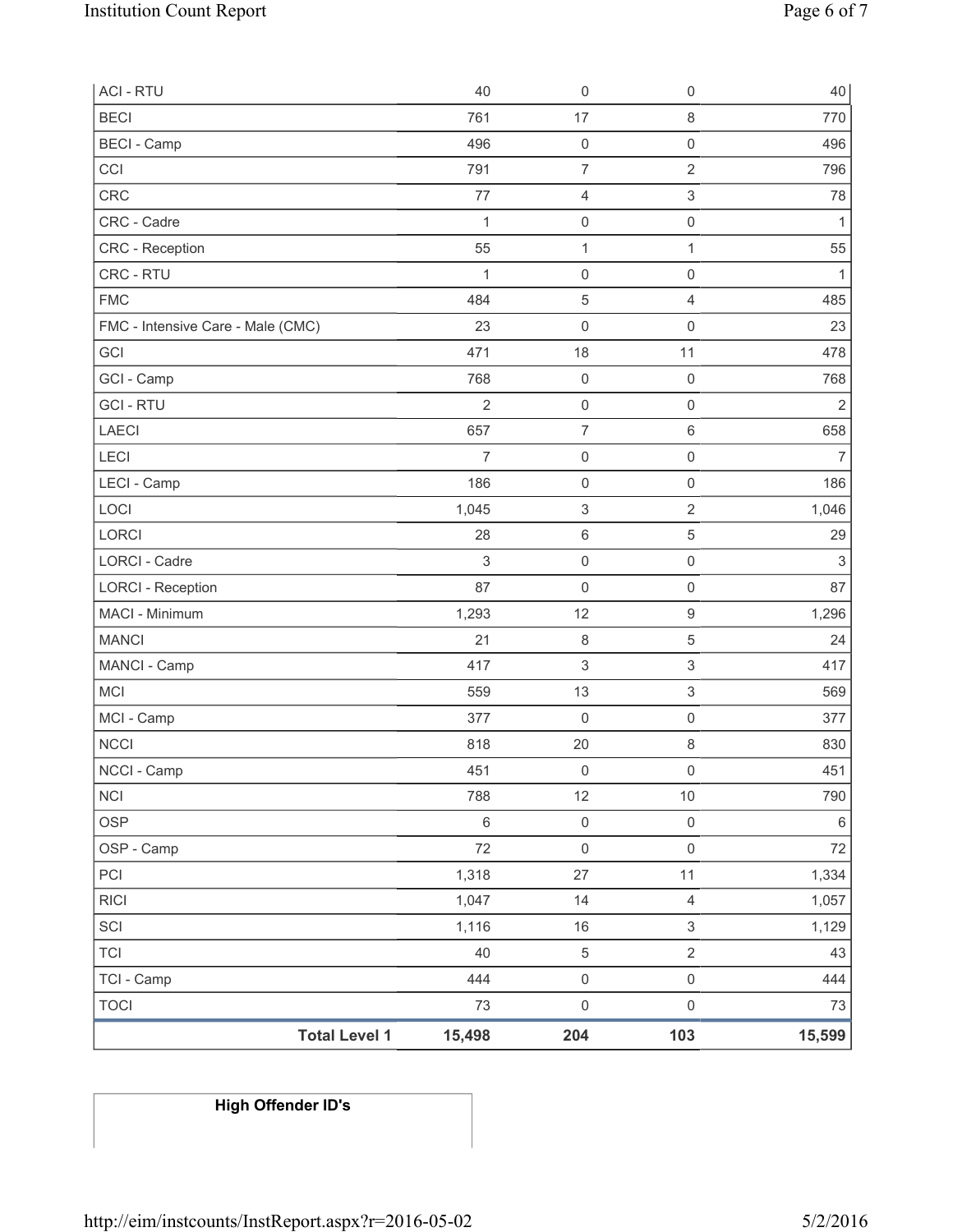| <b>Total Level 1</b>              | 15,498         | 204                                   | 103                            | 15,599         |
|-----------------------------------|----------------|---------------------------------------|--------------------------------|----------------|
| <b>TOCI</b>                       | 73             | $\mathsf 0$                           | $\mathsf 0$                    | 73             |
| TCI - Camp                        | 444            | $\mathsf 0$                           | $\mathsf 0$                    | 444            |
| <b>TCI</b>                        | 40             | $\,$ 5 $\,$                           | $\overline{2}$                 | 43             |
| SCI                               | 1,116          | 16                                    | $\mathfrak{S}$                 | 1,129          |
| <b>RICI</b>                       | 1,047          | 14                                    | $\overline{4}$                 | 1,057          |
| PCI                               | 1,318          | 27                                    | 11                             | 1,334          |
| OSP - Camp                        | 72             | $\mathsf{O}\xspace$                   | $\mathsf{O}\xspace$            | $72\,$         |
| <b>OSP</b>                        | $\,6\,$        | $\mathsf 0$                           | $\mathsf{O}\xspace$            | $\,6\,$        |
| <b>NCI</b>                        | 788            | 12                                    | $10$                           | 790            |
| NCCI - Camp                       | 451            | $\mathsf 0$                           | $\mathsf{O}\xspace$            | 451            |
| <b>NCCI</b>                       | 818            | 20                                    | $\,8\,$                        | 830            |
| MCI - Camp                        | 377            | 0                                     | $\mathbf 0$                    | 377            |
| <b>MCI</b>                        | 559            | 13                                    | $\ensuremath{\mathsf{3}}$      | 569            |
| MANCI - Camp                      | 417            | 3                                     | $\ensuremath{\mathsf{3}}$      | 417            |
| <b>MANCI</b>                      | 21             | $\,8\,$                               | $\sqrt{5}$                     | 24             |
| MACI - Minimum                    | 1,293          | 12                                    | $\hbox{9}$                     | 1,296          |
| <b>LORCI - Reception</b>          | 87             | $\mathsf{O}\xspace$                   | $\mathsf 0$                    | 87             |
| <b>LORCI - Cadre</b>              | $\mathfrak{S}$ | $\mathsf{O}\xspace$                   | $\mathsf 0$                    | $\sqrt{3}$     |
| LORCI                             | 28             | 6                                     | $\sqrt{5}$                     | 29             |
| LOCI                              | 1,045          | $\ensuremath{\mathsf{3}}$             | $\sqrt{2}$                     | 1,046          |
| LECI - Camp                       | 186            | $\boldsymbol{0}$                      | $\mathbf 0$                    | 186            |
| LECI                              | $\overline{7}$ | $\mathsf 0$                           | $\mathsf{O}\xspace$            | $\overline{7}$ |
| <b>LAECI</b>                      | 657            | $\overline{7}$                        | $\,6\,$                        | 658            |
| <b>GCI-RTU</b>                    | $\overline{2}$ | $\mathsf{O}\xspace$                   | $\mathsf 0$                    | 2              |
| GCI - Camp                        | 768            | $\mathsf 0$                           | $\mathsf{O}\xspace$            | 768            |
| GCI                               | 471            | 18                                    | 11                             | 478            |
| FMC - Intensive Care - Male (CMC) | 23             | $\mathsf{O}\xspace$                   | $\mathsf 0$                    | 23             |
| <b>FMC</b>                        | 484            | $\,$ 5 $\,$                           | $\overline{4}$                 | 485            |
| CRC - RTU                         | 1              | $\mathsf{O}\xspace$                   | $\mathsf 0$                    | 1              |
| CRC - Reception                   | 55             | 1                                     | $\mathbf{1}$                   | 55             |
| CRC - Cadre                       | $\mathbf{1}$   | 0                                     | $\mathsf 0$                    | $\mathbf{1}$   |
| <b>CRC</b>                        | 77             | $\overline{4}$                        | $\ensuremath{\mathsf{3}}$      | 78             |
| <b>BECI - Camp</b><br>CCI         | 791            | $\mathsf{O}\xspace$<br>$\overline{7}$ | $\sqrt{2}$                     | 796            |
|                                   | 496            | 17                                    | $\,8\,$<br>$\mathsf{O}\xspace$ | 770<br>496     |
| <b>ACI - RTU</b><br><b>BECI</b>   | 40<br>761      | $\mathsf{O}\xspace$                   | $\mathsf 0$                    | 40             |
|                                   |                |                                       |                                |                |

**High Offender ID's**